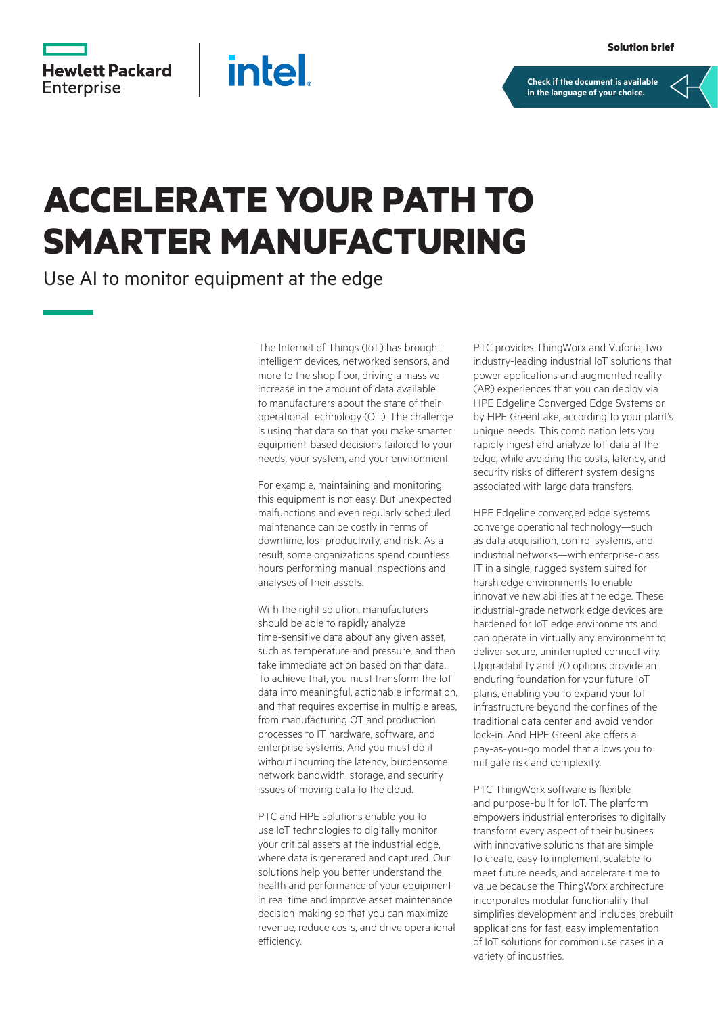**[Check if the document is available](https://psnow.ext.hpe.com/collection-resources/a50004176ENW)  in the language of your choice.**

## **Hewlett Packard Enterprise**

## **ACCELERATE YOUR PATH TO SMARTER MANUFACTURING**

**intel** 

Use AI to monitor equipment at the edge

The Internet of Things (IoT) has brought intelligent devices, networked sensors, and more to the shop floor, driving a massive increase in the amount of data available to manufacturers about the state of their operational technology (OT). The challenge is using that data so that you make smarter equipment‑based decisions tailored to your needs, your system, and your environment.

For example, maintaining and monitoring this equipment is not easy. But unexpected malfunctions and even regularly scheduled maintenance can be costly in terms of downtime, lost productivity, and risk. As a result, some organizations spend countless hours performing manual inspections and analyses of their assets.

With the right solution, manufacturers should be able to rapidly analyze time-sensitive data about any given asset, such as temperature and pressure, and then take immediate action based on that data. To achieve that, you must transform the IoT data into meaningful, actionable information, and that requires expertise in multiple areas, from manufacturing OT and production processes to IT hardware, software, and enterprise systems. And you must do it without incurring the latency, burdensome network bandwidth, storage, and security issues of moving data to the cloud.

PTC and HPE solutions enable you to use IoT technologies to digitally monitor your critical assets at the industrial edge, where data is generated and captured. Our solutions help you better understand the health and performance of your equipment in real time and improve asset maintenance decision‑making so that you can maximize revenue, reduce costs, and drive operational efficiency.

PTC provides ThingWorx and Vuforia, two industry-leading industrial IoT solutions that power applications and augmented reality (AR) experiences that you can deploy via HPE Edgeline Converged Edge Systems or by HPE GreenLake, according to your plant's unique needs. This combination lets you rapidly ingest and analyze IoT data at the edge, while avoiding the costs, latency, and security risks of different system designs associated with large data transfers.

HPE Edgeline converged edge systems converge operational technology—such as data acquisition, control systems, and industrial networks—with enterprise-class IT in a single, rugged system suited for harsh edge environments to enable innovative new abilities at the edge. These industrial-grade network edge devices are hardened for IoT edge environments and can operate in virtually any environment to deliver secure, uninterrupted connectivity. Upgradability and I/O options provide an enduring foundation for your future IoT plans, enabling you to expand your IoT infrastructure beyond the confines of the traditional data center and avoid vendor lock-in. And HPF GreenLake offers a pay-as-you-go model that allows you to mitigate risk and complexity.

PTC ThingWorx software is flexible and purpose-built for IoT. The platform empowers industrial enterprises to digitally transform every aspect of their business with innovative solutions that are simple to create, easy to implement, scalable to meet future needs, and accelerate time to value because the ThingWorx architecture incorporates modular functionality that simplifies development and includes prebuilt applications for fast, easy implementation of IoT solutions for common use cases in a variety of industries.